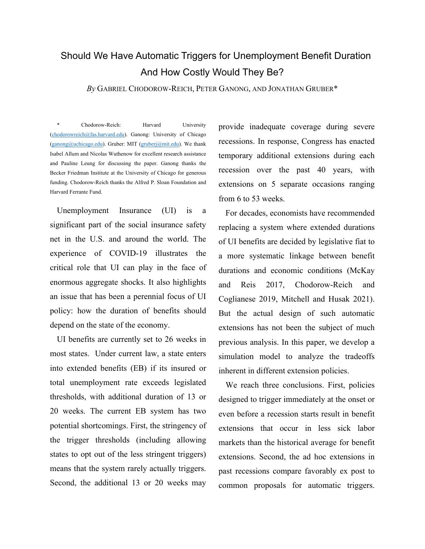# Should We Have Automatic Triggers for Unemployment Benefit Duration And How Costly Would They Be?

*By* GABRIEL CHODOROW-REICH, PETER GANONG, AND JONATHAN GRUBER\*

\* Chodorow-Reich: Harvard University [\(chodorowreich@fas.harvard.edu\).](mailto:chodorowreich@fas.harvard.edu) Ganong: University of Chicago [\(ganong@uchicago.edu\)](mailto:ganong@uchicago.edu). Gruber: MIT [\(gruberj@mit.edu\)](mailto:gruberj@mit.edu). We thank Isabel Allum and Nicolas Wuthenow for excellent research assistance and Pauline Leung for discussing the paper. Ganong thanks the Becker Friedman Institute at the University of Chicago for generous funding. Chodorow-Reich thanks the Alfred P. Sloan Foundation and Harvard Ferrante Fund.

Unemployment Insurance (UI) is a significant part of the social insurance safety net in the U.S. and around the world. The experience of COVID-19 illustrates the critical role that UI can play in the face of enormous aggregate shocks. It also highlights an issue that has been a perennial focus of UI policy: how the duration of benefits should depend on the state of the economy.

UI benefits are currently set to 26 weeks in most states. Under current law, a state enters into extended benefits (EB) if its insured or total unemployment rate exceeds legislated thresholds, with additional duration of 13 or 20 weeks. The current EB system has two potential shortcomings. First, the stringency of the trigger thresholds (including allowing states to opt out of the less stringent triggers) means that the system rarely actually triggers. Second, the additional 13 or 20 weeks may

provide inadequate coverage during severe recessions. In response, Congress has enacted temporary additional extensions during each recession over the past 40 years, with extensions on 5 separate occasions ranging from 6 to 53 weeks.

For decades, economists have recommended replacing a system where extended durations of UI benefits are decided by legislative fiat to a more systematic linkage between benefit durations and economic conditions (McKay and Reis 2017, Chodorow-Reich and Coglianese 2019, Mitchell and Husak 2021). But the actual design of such automatic extensions has not been the subject of much previous analysis. In this paper, we develop a simulation model to analyze the tradeoffs inherent in different extension policies.

We reach three conclusions. First, policies designed to trigger immediately at the onset or even before a recession starts result in benefit extensions that occur in less sick labor markets than the historical average for benefit extensions. Second, the ad hoc extensions in past recessions compare favorably ex post to common proposals for automatic triggers.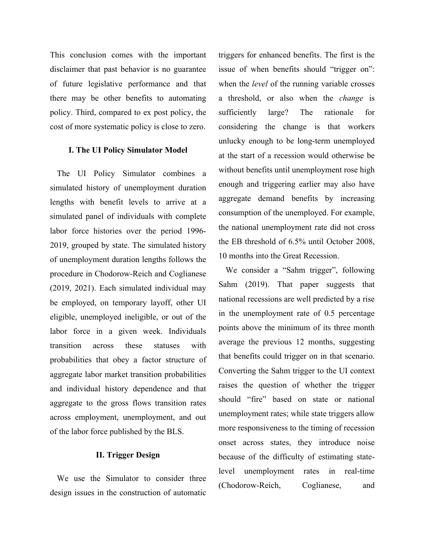This conclusion comes with the important disclaimer that past behavior is no guarantee of future legislative performance and that there may be other benefits to automating policy. Third, compared to ex post policy, the cost of more systematic policy is close to zero.

## **I. The UI Policy Simulator Model**

The UI Policy Simulator combines a simulated history of unemployment duration lengths with benefit levels to arrive at a simulated panel of individuals with complete labor force histories over the period 1996- 2019, grouped by state. The simulated history of unemployment duration lengths follows the procedure in Chodorow-Reich and Coglianese (2019, 2021). Each simulated individual may be employed, on temporary layoff, other UI eligible, unemployed ineligible, or out of the labor force in a given week. Individuals transition across these statuses with probabilities that obey a factor structure of aggregate labor market transition probabilities and individual history dependence and that aggregate to the gross flows transition rates across employment, unemployment, and out of the labor force published by the BLS.

# **II. Trigger Design**

We use the Simulator to consider three design issues in the construction of automatic triggers for enhanced benefits. The first is the issue of when benefits should "trigger on": when the *level* of the running variable crosses a threshold, or also when the *change* is sufficiently large? The rationale for considering the change is that workers unlucky enough to be long-term unemployed at the start of a recession would otherwise be without benefits until unemployment rose high enough and triggering earlier may also have aggregate demand benefits by increasing consumption of the unemployed. For example, the national unemployment rate did not cross the EB threshold of 6.5% until October 2008, 10 months into the Great Recession.

We consider a "Sahm trigger", following Sahm (2019). That paper suggests that national recessions are well predicted by a rise in the unemployment rate of 0.5 percentage points above the minimum of its three month average the previous 12 months, suggesting that benefits could trigger on in that scenario. Converting the Sahm trigger to the UI context raises the question of whether the trigger should "fire" based on state or national unemployment rates; while state triggers allow more responsiveness to the timing of recession onset across states, they introduce noise because of the difficulty of estimating statelevel unemployment rates in real-time (Chodorow-Reich, Coglianese, and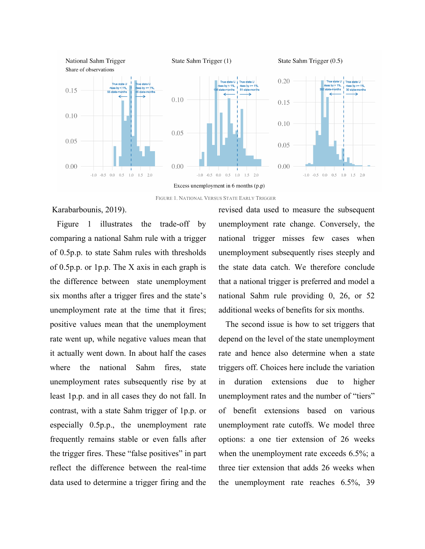

FIGURE 1. NATIONAL VERSUS STATE EARLY TRIGGER

Karabarbounis, 2019).

Figure 1 illustrates the trade-off by comparing a national Sahm rule with a trigger of 0.5p.p. to state Sahm rules with thresholds of 0.5p.p. or 1p.p. The X axis in each graph is the difference between state unemployment six months after a trigger fires and the state's unemployment rate at the time that it fires; positive values mean that the unemployment rate went up, while negative values mean that it actually went down. In about half the cases where the national Sahm fires, state unemployment rates subsequently rise by at least 1p.p. and in all cases they do not fall. In contrast, with a state Sahm trigger of 1p.p. or especially 0.5p.p., the unemployment rate frequently remains stable or even falls after the trigger fires. These "false positives" in part reflect the difference between the real-time data used to determine a trigger firing and the

revised data used to measure the subsequent unemployment rate change. Conversely, the national trigger misses few cases when unemployment subsequently rises steeply and the state data catch. We therefore conclude that a national trigger is preferred and model a national Sahm rule providing 0, 26, or 52 additional weeks of benefits for six months.

The second issue is how to set triggers that depend on the level of the state unemployment rate and hence also determine when a state triggers off. Choices here include the variation in duration extensions due to higher unemployment rates and the number of "tiers" of benefit extensions based on various unemployment rate cutoffs. We model three options: a one tier extension of 26 weeks when the unemployment rate exceeds 6.5%; a three tier extension that adds 26 weeks when the unemployment rate reaches 6.5%, 39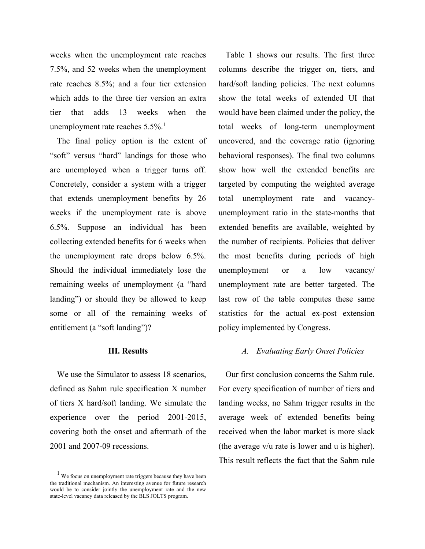weeks when the unemployment rate reaches 7.5%, and 52 weeks when the unemployment rate reaches 8.5%; and a four tier extension which adds to the three tier version an extra tier that adds 13 weeks when the unemployment rate reaches  $5.5\%$ <sup>[1](#page-3-0)</sup>

The final policy option is the extent of "soft" versus "hard" landings for those who are unemployed when a trigger turns off. Concretely, consider a system with a trigger that extends unemployment benefits by 26 weeks if the unemployment rate is above 6.5%. Suppose an individual has been collecting extended benefits for 6 weeks when the unemployment rate drops below 6.5%. Should the individual immediately lose the remaining weeks of unemployment (a "hard landing") or should they be allowed to keep some or all of the remaining weeks of entitlement (a "soft landing")?

#### **III. Results**

We use the Simulator to assess 18 scenarios, defined as Sahm rule specification X number of tiers X hard/soft landing. We simulate the experience over the period 2001-2015, covering both the onset and aftermath of the 2001 and 2007-09 recessions.

Table 1 shows our results. The first three columns describe the trigger on, tiers, and hard/soft landing policies. The next columns show the total weeks of extended UI that would have been claimed under the policy, the total weeks of long-term unemployment uncovered, and the coverage ratio (ignoring behavioral responses). The final two columns show how well the extended benefits are targeted by computing the weighted average total unemployment rate and vacancyunemployment ratio in the state-months that extended benefits are available, weighted by the number of recipients. Policies that deliver the most benefits during periods of high unemployment or a low vacancy/ unemployment rate are better targeted. The last row of the table computes these same statistics for the actual ex-post extension policy implemented by Congress.

#### *A. Evaluating Early Onset Policies*

Our first conclusion concerns the Sahm rule. For every specification of number of tiers and landing weeks, no Sahm trigger results in the average week of extended benefits being received when the labor market is more slack (the average v/u rate is lower and u is higher). This result reflects the fact that the Sahm rule

<span id="page-3-0"></span><sup>&</sup>lt;sup>1</sup> We focus on unemployment rate triggers because they have been the traditional mechanism. An interesting avenue for future research would be to consider jointly the unemployment rate and the new state-level vacancy data released by the BLS JOLTS program.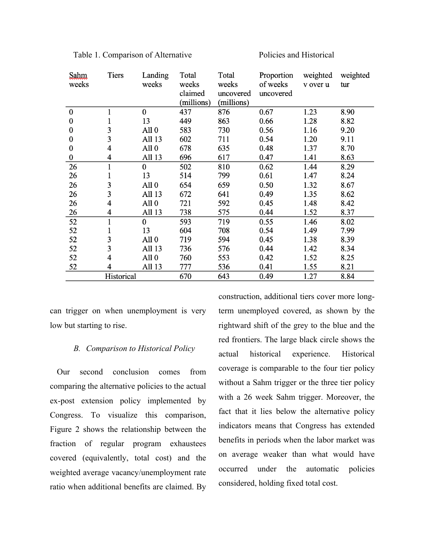| Sahm<br>weeks    | Tiers | Landing<br>weeks | Total<br>weeks<br>claimed<br>(millions) | Total<br>weeks<br>uncovered<br>(millions) | Proportion<br>of weeks<br>uncovered | weighted<br>v over u | weighted<br>tur |
|------------------|-------|------------------|-----------------------------------------|-------------------------------------------|-------------------------------------|----------------------|-----------------|
| $\boldsymbol{0}$ | 1     | $\mathbf{0}$     | 437                                     | 876                                       | 0.67                                | 1.23                 | 8.90            |
| $\boldsymbol{0}$ |       | 13               | 449                                     | 863                                       | 0.66                                | 1.28                 | 8.82            |
| $\boldsymbol{0}$ | 3     | All $0$          | 583                                     | 730                                       | 0.56                                | 1.16                 | 9.20            |
| $\boldsymbol{0}$ | 3     | All 13           | 602                                     | 711                                       | 0.54                                | 1.20                 | 9.11            |
| 0                | 4     | All $0$          | 678                                     | 635                                       | 0.48                                | 1.37                 | 8.70            |
| $\boldsymbol{0}$ | 4     | All 13           | 696                                     | 617                                       | 0.47                                | 1.41                 | 8.63            |
| 26               | 1     | $\mathbf{0}$     | 502                                     | 810                                       | 0.62                                | 1.44                 | 8.29            |
| 26               | 1     | 13               | 514                                     | 799                                       | 0.61                                | 1.47                 | 8.24            |
| 26               | 3     | All $0$          | 654                                     | 659                                       | 0.50                                | 1.32                 | 8.67            |
| 26               | 3     | All 13           | 672                                     | 641                                       | 0.49                                | 1.35                 | 8.62            |
| 26               | 4     | All $0$          | 721                                     | 592                                       | 0.45                                | 1.48                 | 8.42            |
| 26               | 4     | All 13           | 738                                     | 575                                       | 0.44                                | 1.52                 | 8.37            |
| 52               | 1     | $\overline{0}$   | 593                                     | 719                                       | 0.55                                | 1.46                 | 8.02            |
| 52               |       | 13               | 604                                     | 708                                       | 0.54                                | 1.49                 | 7.99            |
| 52               | 3     | All $0$          | 719                                     | 594                                       | 0.45                                | 1.38                 | 8.39            |
| 52               | 3     | All 13           | 736                                     | 576                                       | 0.44                                | 1.42                 | 8.34            |
| 52               | 4     | All 0            | 760                                     | 553                                       | 0.42                                | 1.52                 | 8.25            |
| 52               | 4     | All 13           | 777                                     | 536                                       | 0.41                                | 1.55                 | 8.21            |
| Historical       |       |                  | 670                                     | 643                                       | 0.49                                | 1.27                 | 8.84            |

Table 1. Comparison of Alternative Policies and Historical

can trigger on when unemployment is very low but starting to rise.

## *B. Comparison to Historical Policy*

Our second conclusion comes from comparing the alternative policies to the actual ex-post extension policy implemented by Congress. To visualize this comparison, Figure 2 shows the relationship between the fraction of regular program exhaustees covered (equivalently, total cost) and the weighted average vacancy/unemployment rate ratio when additional benefits are claimed. By

construction, additional tiers cover more longterm unemployed covered, as shown by the rightward shift of the grey to the blue and the red frontiers. The large black circle shows the actual historical experience. Historical coverage is comparable to the four tier policy without a Sahm trigger or the three tier policy with a 26 week Sahm trigger. Moreover, the fact that it lies below the alternative policy indicators means that Congress has extended benefits in periods when the labor market was on average weaker than what would have occurred under the automatic policies considered, holding fixed total cost.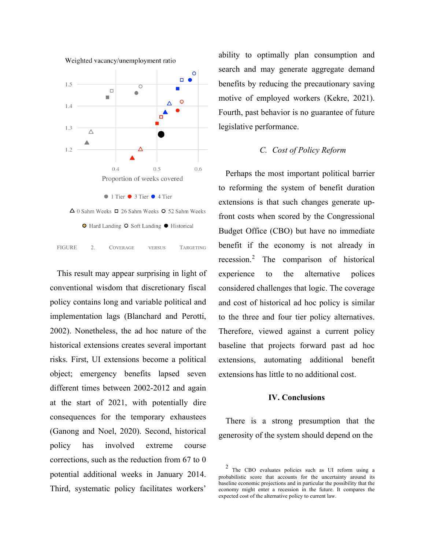

<span id="page-5-0"></span>This result may appear surprising in light of conventional wisdom that discretionary fiscal policy contains long and variable political and implementation lags (Blanchard and Perotti, 2002). Nonetheless, the ad hoc nature of the historical extensions creates several important risks. First, UI extensions become a political object; emergency benefits lapsed seven different times between 2002-2012 and again at the start of 2021, with potentially dire consequences for the temporary exhaustees (Ganong and Noel, 2020). Second, historical policy has involved extreme course corrections, such as the reduction from 67 to 0 potential additional weeks in January 2014. Third, systematic policy facilitates workers'

ability to optimally plan consumption and search and may generate aggregate demand benefits by reducing the precautionary saving motive of employed workers (Kekre, 2021). Fourth, past behavior is no guarantee of future legislative performance.

# *C. Cost of Policy Reform*

Perhaps the most important political barrier to reforming the system of benefit duration extensions is that such changes generate upfront costs when scored by the Congressional Budget Office (CBO) but have no immediate benefit if the economy is not already in recession.[2](#page-5-0) The comparison of historical experience to the alternative polices considered challenges that logic. The coverage and cost of historical ad hoc policy is similar to the three and four tier policy alternatives. Therefore, viewed against a current policy baseline that projects forward past ad hoc extensions, automating additional benefit extensions has little to no additional cost.

#### **IV. Conclusions**

There is a strong presumption that the generosity of the system should depend on the

The CBO evaluates policies such as UI reform using a probabilistic score that accounts for the uncertainty around its baseline economic projections and in particular the possibility that the economy might enter a recession in the future. It compares the expected cost of the alternative policy to current law.